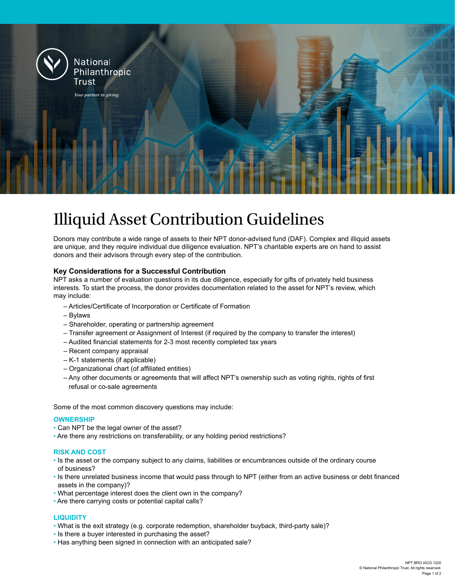

# Illiquid Asset Contribution Guidelines

Donors may contribute a wide range of assets to their NPT donor-advised fund (DAF). Complex and illiquid assets are unique, and they require individual due diligence evaluation. NPT's charitable experts are on hand to assist donors and their advisors through every step of the contribution.

### **Key Considerations for a Successful Contribution**

NPT asks a number of evaluation questions in its due diligence, especially for gifts of privately held business interests. To start the process, the donor provides documentation related to the asset for NPT's review, which may include:

- Articles/Certificate of Incorporation or Certificate of Formation
- Bylaws
- Shareholder, operating or partnership agreement
- Transfer agreement or Assignment of Interest (if required by the company to transfer the interest)
- Audited financial statements for 2-3 most recently completed tax years
- Recent company appraisal
- K-1 statements (if applicable)
- Organizational chart (of affiliated entities)
- Any other documents or agreements that will affect NPT's ownership such as voting rights, rights of first refusal or co-sale agreements

Some of the most common discovery questions may include:

#### **OWNERSHIP**

- Can NPT be the legal owner of the asset?
- Are there any restrictions on transferability, or any holding period restrictions?

#### **RISK AND COST**

- Is the asset or the company subject to any claims, liabilities or encumbrances outside of the ordinary course of business?
- Is there unrelated business income that would pass through to NPT (either from an active business or debt financed assets in the company)?
- What percentage interest does the client own in the company?
- Are there carrying costs or potential capital calls?

#### **LIQUIDITY**

- What is the exit strategy (e.g. corporate redemption, shareholder buyback, third-party sale)?
- Is there a buyer interested in purchasing the asset?
- Has anything been signed in connection with an anticipated sale?